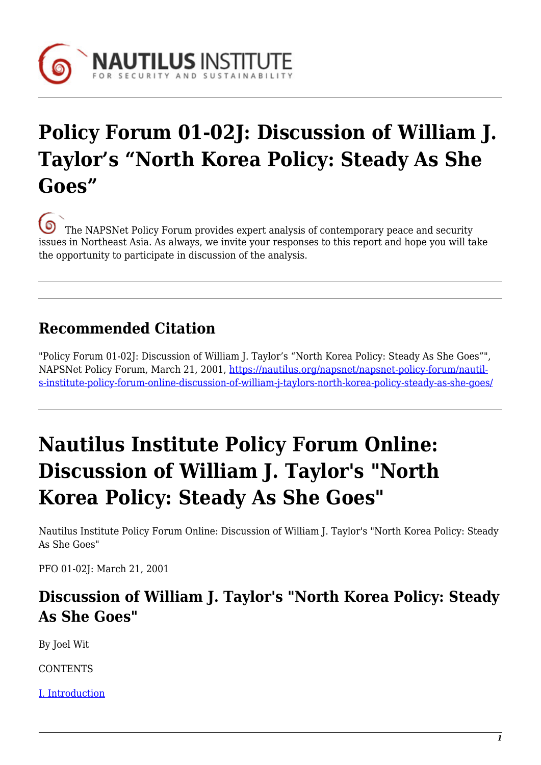

## **Policy Forum 01-02J: Discussion of William J. Taylor's "North Korea Policy: Steady As She Goes"**

[T](https://nautilus.org/wp-content/uploads/2013/05/nautilus-logo-small.png)he NAPSNet Policy Forum provides expert analysis of contemporary peace and security issues in Northeast Asia. As always, we invite your responses to this report and hope you will take the opportunity to participate in discussion of the analysis.

## **Recommended Citation**

"Policy Forum 01-02J: Discussion of William J. Taylor's "North Korea Policy: Steady As She Goes"", NAPSNet Policy Forum, March 21, 2001, [https://nautilus.org/napsnet/napsnet-policy-forum/nautil](https://nautilus.org/napsnet/napsnet-policy-forum/nautilus-institute-policy-forum-online-discussion-of-william-j-taylors-north-korea-policy-steady-as-she-goes/)[s-institute-policy-forum-online-discussion-of-william-j-taylors-north-korea-policy-steady-as-she-goes/](https://nautilus.org/napsnet/napsnet-policy-forum/nautilus-institute-policy-forum-online-discussion-of-william-j-taylors-north-korea-policy-steady-as-she-goes/)

# **Nautilus Institute Policy Forum Online: Discussion of William J. Taylor's "North Korea Policy: Steady As She Goes"**

Nautilus Institute Policy Forum Online: Discussion of William J. Taylor's "North Korea Policy: Steady As She Goes"

PFO 01-02J: March 21, 2001

### **Discussion of William J. Taylor's "North Korea Policy: Steady As She Goes"**

By Joel Wit

**CONTENTS** 

[I. Introduction](#page-1-0)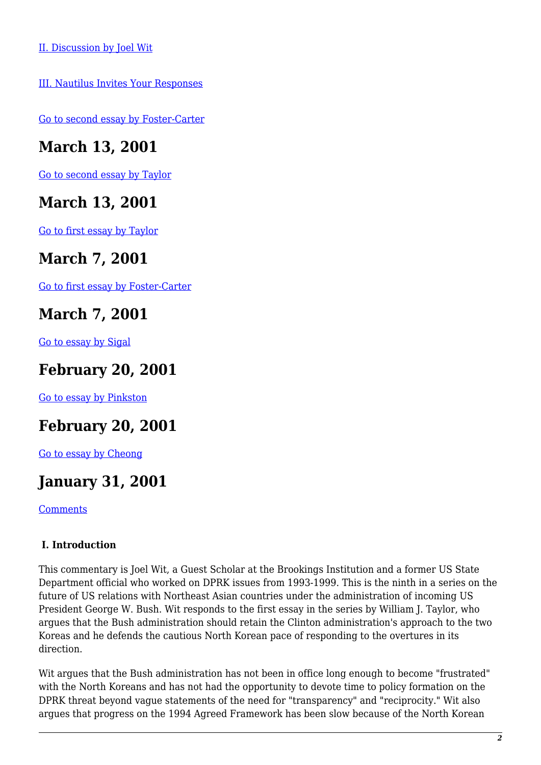[III. Nautilus Invites Your Responses](#page-2-1)

[Go to second essay by Foster-Carter](https://nautilus.org/publications/essays/napsnet/forum/policy-forum-archive/nautilus-institute-policy-forum-online-bush-should-listen-to-a-korean-elder-statesman/)

### **March 13, 2001**

[Go to second essay by Taylor](https://nautilus.org/publications/essays/napsnet/forum/policy-forum-archive/nautilus-institute-policy-forum-online-north-korea-avoid-another-crossroads/)

#### **March 13, 2001**

[Go to first essay by Taylor](https://nautilus.org/publications/essays/napsnet/forum/policy-forum-archive/nautilus-institute-policy-forum-online-north-korea-policy-steady-as-she-goes/)

#### **March 7, 2001**

[Go to first essay by Foster-Carter](https://nautilus.org/publications/essays/napsnet/forum/policy-forum-archive/nautilus-institute-pfo-dove-myths-no-better-than-hawk-myths/)

### **March 7, 2001**

[Go to essay by Sigal](https://nautilus.org/publications/essays/napsnet/forum/policy-forum-archive/nautilus-institute-pfo-01-02c-six-myths-about-dealing-with-pyongyang/)

#### **February 20, 2001**

[Go to essay by Pinkston](https://nautilus.org/publications/essays/napsnet/forum/policy-forum-archive/nautilus-institute-policy-forum-online-dprk-economic-reforms-and-u-s-security-policy-in-northeast-asia/)

## **February 20, 2001**

[Go to essay by Cheong](https://nautilus.org/publications/essays/napsnet/forum/policy-forum-archive/nautilus-institute-policy-forum-online-inauguration-of-president-bush-and-alliance-between-china-and-north-korea/)

#### **January 31, 2001**

**[Comments](https://nautilus.org/publications/essays/napsnet/forum/policy-forum-archive/nautilus-institute-policy-forum-online-comments-on-pfo-01-02-us-policy-toward-asia-under-the-bush-administration/)** 

#### <span id="page-1-0"></span> **I. Introduction**

This commentary is Joel Wit, a Guest Scholar at the Brookings Institution and a former US State Department official who worked on DPRK issues from 1993-1999. This is the ninth in a series on the future of US relations with Northeast Asian countries under the administration of incoming US President George W. Bush. Wit responds to the first essay in the series by William J. Taylor, who argues that the Bush administration should retain the Clinton administration's approach to the two Koreas and he defends the cautious North Korean pace of responding to the overtures in its direction.

Wit argues that the Bush administration has not been in office long enough to become "frustrated" with the North Koreans and has not had the opportunity to devote time to policy formation on the DPRK threat beyond vague statements of the need for "transparency" and "reciprocity." Wit also argues that progress on the 1994 Agreed Framework has been slow because of the North Korean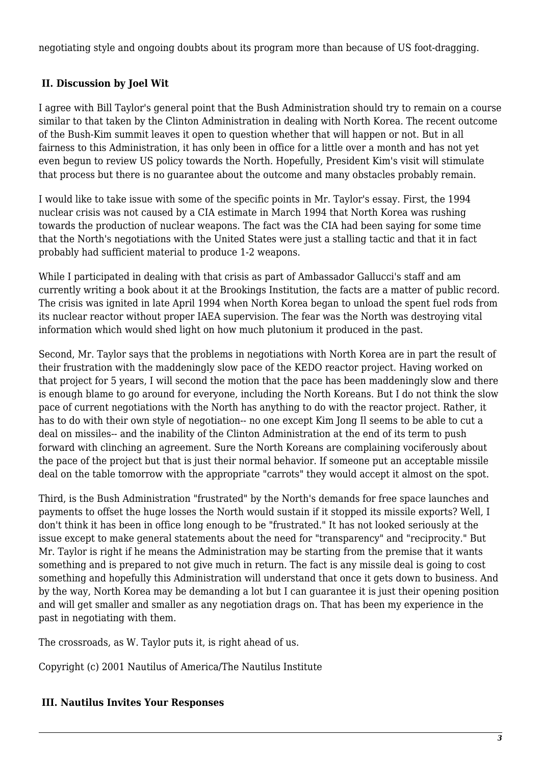negotiating style and ongoing doubts about its program more than because of US foot-dragging.

#### <span id="page-2-0"></span> **II. Discussion by Joel Wit**

I agree with Bill Taylor's general point that the Bush Administration should try to remain on a course similar to that taken by the Clinton Administration in dealing with North Korea. The recent outcome of the Bush-Kim summit leaves it open to question whether that will happen or not. But in all fairness to this Administration, it has only been in office for a little over a month and has not yet even begun to review US policy towards the North. Hopefully, President Kim's visit will stimulate that process but there is no guarantee about the outcome and many obstacles probably remain.

I would like to take issue with some of the specific points in Mr. Taylor's essay. First, the 1994 nuclear crisis was not caused by a CIA estimate in March 1994 that North Korea was rushing towards the production of nuclear weapons. The fact was the CIA had been saying for some time that the North's negotiations with the United States were just a stalling tactic and that it in fact probably had sufficient material to produce 1-2 weapons.

While I participated in dealing with that crisis as part of Ambassador Gallucci's staff and am currently writing a book about it at the Brookings Institution, the facts are a matter of public record. The crisis was ignited in late April 1994 when North Korea began to unload the spent fuel rods from its nuclear reactor without proper IAEA supervision. The fear was the North was destroying vital information which would shed light on how much plutonium it produced in the past.

Second, Mr. Taylor says that the problems in negotiations with North Korea are in part the result of their frustration with the maddeningly slow pace of the KEDO reactor project. Having worked on that project for 5 years, I will second the motion that the pace has been maddeningly slow and there is enough blame to go around for everyone, including the North Koreans. But I do not think the slow pace of current negotiations with the North has anything to do with the reactor project. Rather, it has to do with their own style of negotiation-- no one except Kim Jong Il seems to be able to cut a deal on missiles-- and the inability of the Clinton Administration at the end of its term to push forward with clinching an agreement. Sure the North Koreans are complaining vociferously about the pace of the project but that is just their normal behavior. If someone put an acceptable missile deal on the table tomorrow with the appropriate "carrots" they would accept it almost on the spot.

Third, is the Bush Administration "frustrated" by the North's demands for free space launches and payments to offset the huge losses the North would sustain if it stopped its missile exports? Well, I don't think it has been in office long enough to be "frustrated." It has not looked seriously at the issue except to make general statements about the need for "transparency" and "reciprocity." But Mr. Taylor is right if he means the Administration may be starting from the premise that it wants something and is prepared to not give much in return. The fact is any missile deal is going to cost something and hopefully this Administration will understand that once it gets down to business. And by the way, North Korea may be demanding a lot but I can guarantee it is just their opening position and will get smaller and smaller as any negotiation drags on. That has been my experience in the past in negotiating with them.

The crossroads, as W. Taylor puts it, is right ahead of us.

Copyright (c) 2001 Nautilus of America/The Nautilus Institute

#### <span id="page-2-1"></span> **III. Nautilus Invites Your Responses**